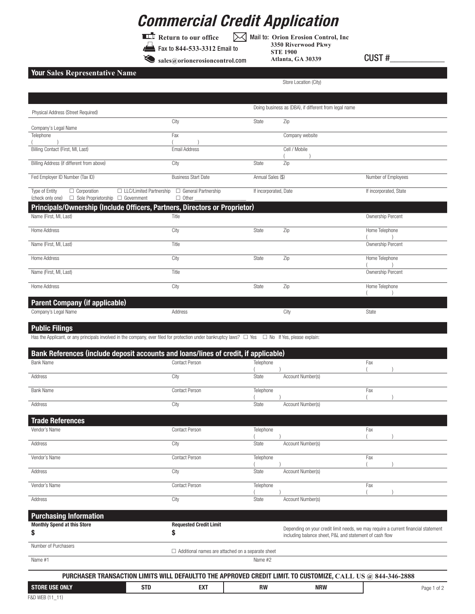## **Commercial Credit Application**

**Return to our office** Fax to **844-533-3312** Email to

Mail to: **Orion Erosion Control, Inc**

**sales@orionerosioncontrol**.com

**3350 Riverwood Pkwy STE 1900 Atlanta, GA 30339** CUST #\_\_\_\_\_\_\_\_\_\_\_\_

Store Location (City)

## **Your Sales Representative Name**

| Physical Address (Street Required)                                                                                                                                                   |                               |                                                                     | Doing business as (DBA), if different from legal name   |                                                                                    |
|--------------------------------------------------------------------------------------------------------------------------------------------------------------------------------------|-------------------------------|---------------------------------------------------------------------|---------------------------------------------------------|------------------------------------------------------------------------------------|
| Company's Legal Name                                                                                                                                                                 | City                          | State                                                               | Zip                                                     |                                                                                    |
| Telephone                                                                                                                                                                            | Fax                           |                                                                     | Company website                                         |                                                                                    |
| Billing Contact (First, MI, Last)                                                                                                                                                    | Email Address                 |                                                                     | Cell / Mobile                                           |                                                                                    |
| Billing Address (if different from above)                                                                                                                                            | City                          | State                                                               | Zip                                                     |                                                                                    |
| Fed Employer ID Number (Tax ID)                                                                                                                                                      | <b>Business Start Date</b>    | Annual Sales (\$)                                                   |                                                         | Number of Employees                                                                |
| Type of Entity<br>$\Box$ Corporation<br>□ LLC/Limited Partnership                                                                                                                    | $\Box$ General Partnership    | If incorporated, Date                                               |                                                         | If incorporated, State                                                             |
| □ Sole Proprietorship □ Government<br>(check only one)<br>Principals/Ownership (Include Officers, Partners, Directors or Proprietor)                                                 | $\Box$ Other                  |                                                                     |                                                         |                                                                                    |
| Name (First, MI, Last)                                                                                                                                                               | Title                         |                                                                     |                                                         | Ownership Percent                                                                  |
| Home Address                                                                                                                                                                         | City                          | State                                                               | Zip                                                     | Home Telephone                                                                     |
| Name (First, MI, Last)                                                                                                                                                               | Title                         |                                                                     |                                                         | Ownership Percent                                                                  |
| Home Address                                                                                                                                                                         | City                          | State                                                               | Zip                                                     | Home Telephone                                                                     |
| Name (First, MI, Last)                                                                                                                                                               | Title                         |                                                                     |                                                         | Ownership Percent                                                                  |
| Home Address                                                                                                                                                                         | City                          | State                                                               | Zip                                                     | Home Telephone                                                                     |
|                                                                                                                                                                                      |                               |                                                                     |                                                         |                                                                                    |
| <b>Parent Company (if applicable)</b><br>Company's Legal Name                                                                                                                        | Address                       |                                                                     | City                                                    | State                                                                              |
|                                                                                                                                                                                      |                               |                                                                     |                                                         |                                                                                    |
| <b>Public Filings</b><br>Has the Applicant, or any principals involved in the company, ever filed for protection under bankruptcy laws? $\Box$ Yes $\Box$ No If Yes, please explain: |                               |                                                                     |                                                         |                                                                                    |
|                                                                                                                                                                                      |                               |                                                                     |                                                         |                                                                                    |
| Bank References (include deposit accounts and loans/lines of credit, if applicable)<br><b>Bank Name</b>                                                                              | Contact Person                | Telephone                                                           |                                                         | Fax                                                                                |
| Address                                                                                                                                                                              | City                          | State                                                               | Account Number(s)                                       |                                                                                    |
| <b>Bank Name</b>                                                                                                                                                                     | Contact Person                | Telephone                                                           |                                                         | Fax                                                                                |
| Address                                                                                                                                                                              | City                          | State                                                               | Account Number(s)                                       |                                                                                    |
|                                                                                                                                                                                      |                               |                                                                     |                                                         |                                                                                    |
| <b>Trade References</b>                                                                                                                                                              |                               |                                                                     |                                                         |                                                                                    |
| Vendor's Name                                                                                                                                                                        | Contact Person                | Telephone                                                           |                                                         | Fax                                                                                |
| Address                                                                                                                                                                              | City                          | State                                                               | Account Number(s)                                       |                                                                                    |
| Vendor's Name                                                                                                                                                                        | Contact Person                | Telephone                                                           |                                                         | Fax                                                                                |
| Address                                                                                                                                                                              | City                          | State                                                               | Account Number(s)                                       |                                                                                    |
| Vendor's Name                                                                                                                                                                        | Contact Person                | Telephone                                                           |                                                         | Fax                                                                                |
| Address                                                                                                                                                                              | City                          | State                                                               | Account Number(s)                                       |                                                                                    |
| <b>Purchasing Information</b>                                                                                                                                                        |                               |                                                                     |                                                         |                                                                                    |
| <b>Monthly Spend</b><br>\$                                                                                                                                                           | <b>Requested Credit Limit</b> |                                                                     |                                                         | Depending on your credit limit needs, we may require a current financial statement |
| Number of Purchasers                                                                                                                                                                 | \$                            |                                                                     | including balance sheet, P&L and statement of cash flow |                                                                                    |
|                                                                                                                                                                                      |                               | $\Box$ Additional names are attached on a separate sheet<br>Name #2 |                                                         |                                                                                    |
| Name #1                                                                                                                                                                              |                               |                                                                     |                                                         |                                                                                    |
| PURCHASER TRANSACTION LIMITS WILL DEFAULTTO THE APPROVED CREDIT LIMIT. TO CUSTOMIZE, CALL US @ 844-346-2888                                                                          |                               |                                                                     |                                                         |                                                                                    |
| <b>STD</b><br><b>STORE USE ONLY</b>                                                                                                                                                  | <b>EXT</b>                    | <b>RW</b>                                                           | <b>NRW</b>                                              | Page 1 of 2                                                                        |